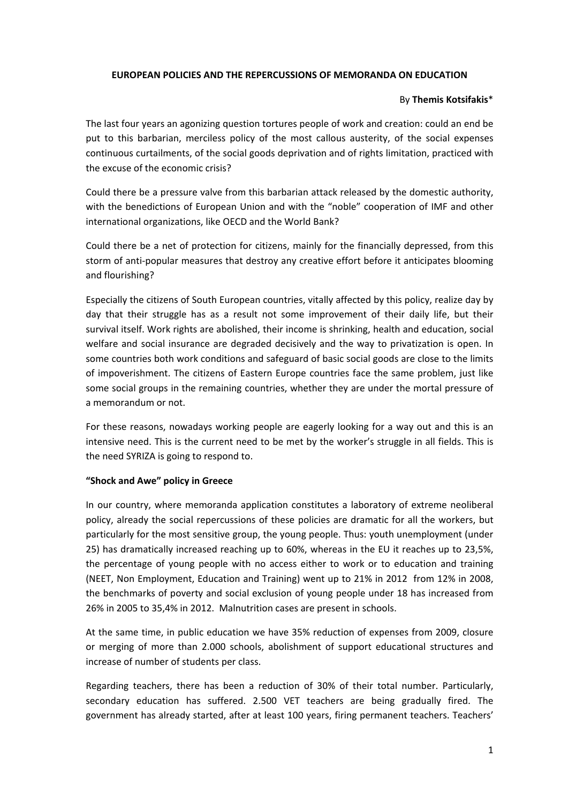## **EUROPEAN POLICIES AND THE REPERCUSSIONS OF MEMORANDA ON EDUCATION**

### By **Themis Kotsifakis**\*

The last four years an agonizing question tortures people of work and creation: could an end be put to this barbarian, merciless policy of the most callous austerity, of the social expenses continuous curtailments, of the social goods deprivation and of rights limitation, practiced with the excuse of the economic crisis?

Could there be a pressure valve from this barbarian attack released by the domestic authority, with the benedictions of European Union and with the "noble" cooperation of IMF and other international organizations, like OECD and the World Bank?

Could there be a net of protection for citizens, mainly for the financially depressed, from this storm of anti-popular measures that destroy any creative effort before it anticipates blooming and flourishing?

Especially the citizens of South European countries, vitally affected by this policy, realize day by day that their struggle has as a result not some improvement of their daily life, but their survival itself. Work rights are abolished, their income is shrinking, health and education, social welfare and social insurance are degraded decisively and the way to privatization is open. In some countries both work conditions and safeguard of basic social goods are close to the limits of impoverishment. The citizens of Eastern Europe countries face the same problem, just like some social groups in the remaining countries, whether they are under the mortal pressure of a memorandum or not.

For these reasons, nowadays working people are eagerly looking for a way out and this is an intensive need. This is the current need to be met by the worker's struggle in all fields. This is the need SYRIZA is going to respond to.

#### **"Shock and Awe" policy in Greece**

In our country, where memoranda application constitutes a laboratory of extreme neoliberal policy, already the social repercussions of these policies are dramatic for all the workers, but particularly for the most sensitive group, the young people. Thus: youth unemployment (under 25) has dramatically increased reaching up to 60%, whereas in the EU it reaches up to 23,5%, the percentage of young people with no access either to work or to education and training (NEET, Non Employment, Education and Training) went up to 21% in 2012 from 12% in 2008, the benchmarks of poverty and social exclusion of young people under 18 has increased from 26% in 2005 to 35,4% in 2012. Malnutrition cases are present in schools.

At the same time, in public education we have 35% reduction of expenses from 2009, closure or merging of more than 2.000 schools, abolishment of support educational structures and increase of number of students per class.

Regarding teachers, there has been a reduction of 30% of their total number. Particularly, secondary education has suffered. 2.500 VET teachers are being gradually fired. The government has already started, after at least 100 years, firing permanent teachers. Teachers'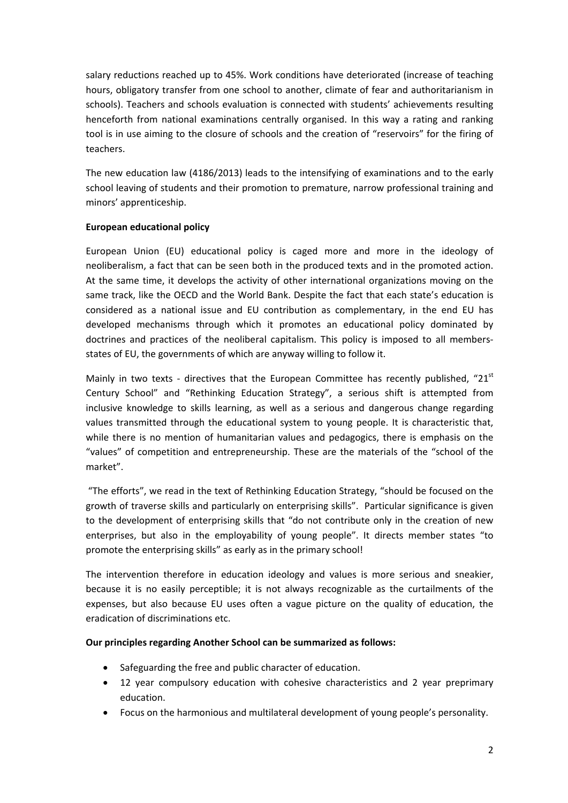salary reductions reached up to 45%. Work conditions have deteriorated (increase of teaching hours, obligatory transfer from one school to another, climate of fear and authoritarianism in schools). Teachers and schools evaluation is connected with students' achievements resulting henceforth from national examinations centrally organised. In this way a rating and ranking tool is in use aiming to the closure of schools and the creation of "reservoirs" for the firing of teachers.

The new education law (4186/2013) leads to the intensifying of examinations and to the early school leaving of students and their promotion to premature, narrow professional training and minors' apprenticeship.

# **European educational policy**

European Union (EU) educational policy is caged more and more in the ideology of neoliberalism, a fact that can be seen both in the produced texts and in the promoted action. At the same time, it develops the activity of other international organizations moving on the same track, like the OECD and the World Bank. Despite the fact that each state's education is considered as a national issue and EU contribution as complementary, in the end EU has developed mechanisms through which it promotes an educational policy dominated by doctrines and practices of the neoliberal capitalism. This policy is imposed to all members‐ states of EU, the governments of which are anyway willing to follow it.

Mainly in two texts - directives that the European Committee has recently published, " $21<sup>st</sup>$ Century School" and "Rethinking Education Strategy", a serious shift is attempted from inclusive knowledge to skills learning, as well as a serious and dangerous change regarding values transmitted through the educational system to young people. It is characteristic that, while there is no mention of humanitarian values and pedagogics, there is emphasis on the "values" of competition and entrepreneurship. These are the materials of the "school of the market".

"The efforts", we read in the text of Rethinking Education Strategy, "should be focused on the growth of traverse skills and particularly on enterprising skills". Particular significance is given to the development of enterprising skills that "do not contribute only in the creation of new enterprises, but also in the employability of young people". It directs member states "to promote the enterprising skills" as early as in the primary school!

The intervention therefore in education ideology and values is more serious and sneakier, because it is no easily perceptible; it is not always recognizable as the curtailments of the expenses, but also because EU uses often a vague picture on the quality of education, the eradication of discriminations etc.

## **Our principles regarding Another School can be summarized as follows:**

- Safeguarding the free and public character of education.
- 12 year compulsory education with cohesive characteristics and 2 year preprimary education.
- Focus on the harmonious and multilateral development of young people's personality.